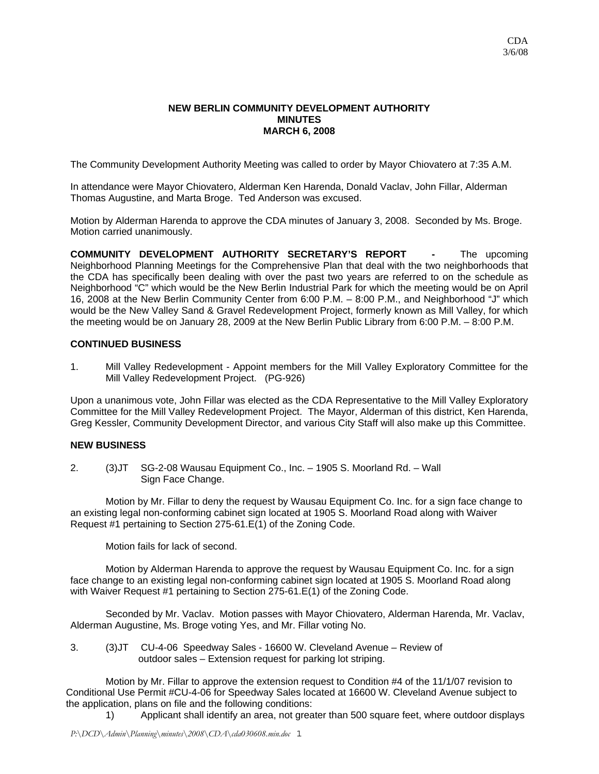## **NEW BERLIN COMMUNITY DEVELOPMENT AUTHORITY MINUTES MARCH 6, 2008**

The Community Development Authority Meeting was called to order by Mayor Chiovatero at 7:35 A.M.

In attendance were Mayor Chiovatero, Alderman Ken Harenda, Donald Vaclav, John Fillar, Alderman Thomas Augustine, and Marta Broge. Ted Anderson was excused.

Motion by Alderman Harenda to approve the CDA minutes of January 3, 2008. Seconded by Ms. Broge. Motion carried unanimously.

**COMMUNITY DEVELOPMENT AUTHORITY SECRETARY'S REPORT -** The upcoming Neighborhood Planning Meetings for the Comprehensive Plan that deal with the two neighborhoods that the CDA has specifically been dealing with over the past two years are referred to on the schedule as Neighborhood "C" which would be the New Berlin Industrial Park for which the meeting would be on April 16, 2008 at the New Berlin Community Center from 6:00 P.M. – 8:00 P.M., and Neighborhood "J" which would be the New Valley Sand & Gravel Redevelopment Project, formerly known as Mill Valley, for which the meeting would be on January 28, 2009 at the New Berlin Public Library from 6:00 P.M. – 8:00 P.M.

## **CONTINUED BUSINESS**

1. Mill Valley Redevelopment - Appoint members for the Mill Valley Exploratory Committee for the Mill Valley Redevelopment Project. (PG-926)

Upon a unanimous vote, John Fillar was elected as the CDA Representative to the Mill Valley Exploratory Committee for the Mill Valley Redevelopment Project. The Mayor, Alderman of this district, Ken Harenda, Greg Kessler, Community Development Director, and various City Staff will also make up this Committee.

## **NEW BUSINESS**

2. (3)JT SG-2-08 Wausau Equipment Co., Inc. – 1905 S. Moorland Rd. – Wall Sign Face Change.

Motion by Mr. Fillar to deny the request by Wausau Equipment Co. Inc. for a sign face change to an existing legal non-conforming cabinet sign located at 1905 S. Moorland Road along with Waiver Request #1 pertaining to Section 275-61.E(1) of the Zoning Code.

Motion fails for lack of second.

Motion by Alderman Harenda to approve the request by Wausau Equipment Co. Inc. for a sign face change to an existing legal non-conforming cabinet sign located at 1905 S. Moorland Road along with Waiver Request #1 pertaining to Section 275-61.E(1) of the Zoning Code.

 Seconded by Mr. Vaclav. Motion passes with Mayor Chiovatero, Alderman Harenda, Mr. Vaclav, Alderman Augustine, Ms. Broge voting Yes, and Mr. Fillar voting No.

3. (3)JT CU-4-06 Speedway Sales - 16600 W. Cleveland Avenue – Review of outdoor sales – Extension request for parking lot striping.

 Motion by Mr. Fillar to approve the extension request to Condition #4 of the 11/1/07 revision to Conditional Use Permit #CU-4-06 for Speedway Sales located at 16600 W. Cleveland Avenue subject to the application, plans on file and the following conditions:

1) Applicant shall identify an area, not greater than 500 square feet, where outdoor displays